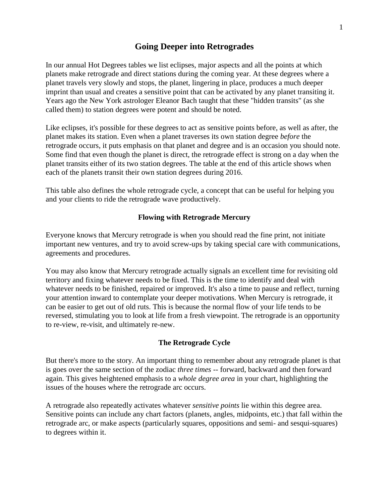# **Going Deeper into Retrogrades**

In our annual Hot Degrees tables we list eclipses, major aspects and all the points at which planets make retrograde and direct stations during the coming year. At these degrees where a planet travels very slowly and stops, the planet, lingering in place, produces a much deeper imprint than usual and creates a sensitive point that can be activated by any planet transiting it. Years ago the New York astrologer Eleanor Bach taught that these "hidden transits" (as she called them) to station degrees were potent and should be noted.

Like eclipses, it's possible for these degrees to act as sensitive points before, as well as after, the planet makes its station. Even when a planet traverses its own station degree *before* the retrograde occurs, it puts emphasis on that planet and degree and is an occasion you should note. Some find that even though the planet is direct, the retrograde effect is strong on a day when the planet transits either of its two station degrees. The table at the end of this article shows when each of the planets transit their own station degrees during 2016.

This table also defines the whole retrograde cycle, a concept that can be useful for helping you and your clients to ride the retrograde wave productively.

#### **Flowing with Retrograde Mercury**

Everyone knows that Mercury retrograde is when you should read the fine print, not initiate important new ventures, and try to avoid screw-ups by taking special care with communications, agreements and procedures.

You may also know that Mercury retrograde actually signals an excellent time for revisiting old territory and fixing whatever needs to be fixed. This is the time to identify and deal with whatever needs to be finished, repaired or improved. It's also a time to pause and reflect, turning your attention inward to contemplate your deeper motivations. When Mercury is retrograde, it can be easier to get out of old ruts. This is because the normal flow of your life tends to be reversed, stimulating you to look at life from a fresh viewpoint. The retrograde is an opportunity to re-view, re-visit, and ultimately re-new.

#### **The Retrograde Cycle**

But there's more to the story. An important thing to remember about any retrograde planet is that is goes over the same section of the zodiac *three times* -- forward, backward and then forward again. This gives heightened emphasis to a *whole degree area* in your chart, highlighting the issues of the houses where the retrograde arc occurs.

A retrograde also repeatedly activates whatever *sensitive points* lie within this degree area. Sensitive points can include any chart factors (planets, angles, midpoints, etc.) that fall within the retrograde arc, or make aspects (particularly squares, oppositions and semi- and sesqui-squares) to degrees within it.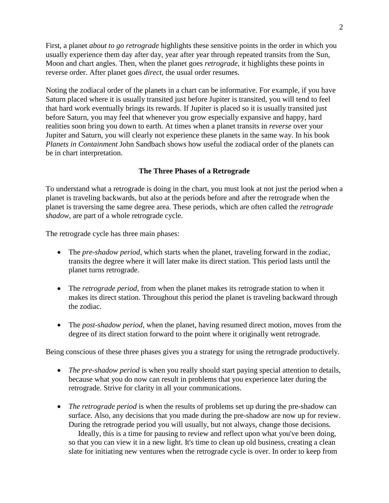First, a planet *about to go retrograde* highlights these sensitive points in the order in which you usually experience them day after day, year after year through repeated transits from the Sun, Moon and chart angles. Then, when the planet goes *retrograde*, it highlights these points in reverse order. After planet goes *direct*, the usual order resumes.

Noting the zodiacal order of the planets in a chart can be informative. For example, if you have Saturn placed where it is usually transited just before Jupiter is transited, you will tend to feel that hard work eventually brings its rewards. If Jupiter is placed so it is usually transited just before Saturn, you may feel that whenever you grow especially expansive and happy, hard realities soon bring you down to earth. At times when a planet transits in *reverse* over your Jupiter and Saturn, you will clearly not experience these planets in the same way. In his book *Planets in Containment* John Sandbach shows how useful the zodiacal order of the planets can be in chart interpretation.

### **The Three Phases of a Retrograde**

To understand what a retrograde is doing in the chart, you must look at not just the period when a planet is traveling backwards, but also at the periods before and after the retrograde when the planet is traversing the same degree area. These periods, which are often called the *retrograde shadow*, are part of a whole retrograde cycle.

The retrograde cycle has three main phases:

- The *pre-shadow period*, which starts when the planet, traveling forward in the zodiac, transits the degree where it will later make its direct station. This period lasts until the planet turns retrograde.
- The *retrograde period*, from when the planet makes its retrograde station to when it makes its direct station. Throughout this period the planet is traveling backward through the zodiac.
- The *post-shadow period*, when the planet, having resumed direct motion, moves from the degree of its direct station forward to the point where it originally went retrograde.

Being conscious of these three phases gives you a strategy for using the retrograde productively.

- *The pre-shadow period* is when you really should start paying special attention to details, because what you do now can result in problems that you experience later during the retrograde. Strive for clarity in all your communications.
- *The retrograde period* is when the results of problems set up during the pre-shadow can surface. Also, any decisions that you made during the pre-shadow are now up for review. During the retrograde period you will usually, but not always, change those decisions.

 Ideally, this is a time for pausing to review and reflect upon what you've been doing, so that you can view it in a new light. It's time to clean up old business, creating a clean slate for initiating new ventures when the retrograde cycle is over. In order to keep from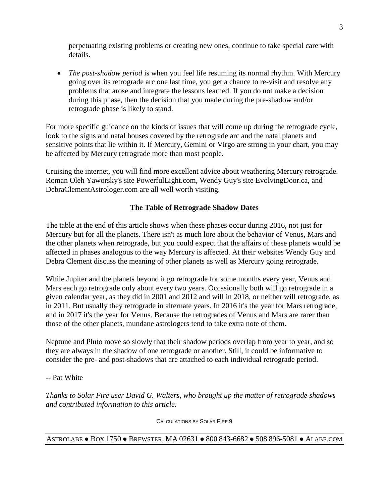perpetuating existing problems or creating new ones, continue to take special care with details.

• *The post-shadow period* is when you feel life resuming its normal rhythm. With Mercury going over its retrograde arc one last time, you get a chance to re-visit and resolve any problems that arose and integrate the lessons learned. If you do not make a decision during this phase, then the decision that you made during the pre-shadow and/or retrograde phase is likely to stand.

For more specific guidance on the kinds of issues that will come up during the retrograde cycle, look to the signs and natal houses covered by the retrograde arc and the natal planets and sensitive points that lie within it. If Mercury, Gemini or Virgo are strong in your chart, you may be affected by Mercury retrograde more than most people.

Cruising the internet, you will find more excellent advice about weathering Mercury retrograde. Roman Oleh Yaworsky's site PowerfulLight.com, Wendy Guy's site EvolvingDoor.ca, and DebraClementAstrologer.com are all well worth visiting.

## **The Table of Retrograde Shadow Dates**

The table at the end of this article shows when these phases occur during 2016, not just for Mercury but for all the planets. There isn't as much lore about the behavior of Venus, Mars and the other planets when retrograde, but you could expect that the affairs of these planets would be affected in phases analogous to the way Mercury is affected. At their websites Wendy Guy and Debra Clement discuss the meaning of other planets as well as Mercury going retrograde.

While Jupiter and the planets beyond it go retrograde for some months every year, Venus and Mars each go retrograde only about every two years. Occasionally both will go retrograde in a given calendar year, as they did in 2001 and 2012 and will in 2018, or neither will retrograde, as in 2011. But usually they retrograde in alternate years. In 2016 it's the year for Mars retrograde, and in 2017 it's the year for Venus. Because the retrogrades of Venus and Mars are rarer than those of the other planets, mundane astrologers tend to take extra note of them.

Neptune and Pluto move so slowly that their shadow periods overlap from year to year, and so they are always in the shadow of one retrograde or another. Still, it could be informative to consider the pre- and post-shadows that are attached to each individual retrograde period.

-- Pat White

*Thanks to Solar Fire user David G. Walters, who brought up the matter of retrograde shadows and contributed information to this article.*

CALCULATIONS BY SOLAR FIRE 9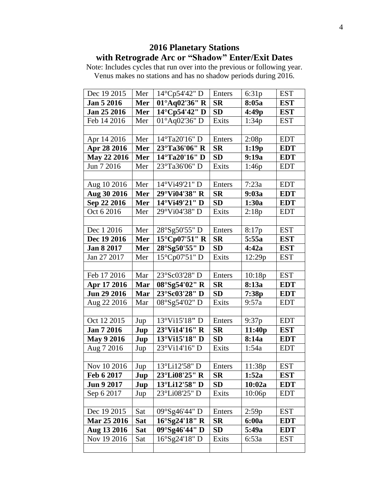# **2016 Planetary Stations with Retrograde Arc or "Shadow" Enter/Exit Dates**

Note: Includes cycles that run over into the previous or following year. Venus makes no stations and has no shadow periods during 2016.

| Dec 19 2015       | Mer        | 14°Cp54'42" D           | Enters           | 6:31p  | <b>EST</b> |
|-------------------|------------|-------------------------|------------------|--------|------------|
| Jan 5 2016        | Mer        | 01°Aq02'36" R           | <b>SR</b>        | 8:05a  | <b>EST</b> |
| Jan 25 2016       | Mer        | 14°Cp54'42" D           | <b>SD</b>        | 4:49p  | <b>EST</b> |
| Feb 14 2016       | Mer        | 01°Aq02'36" D           | Exits            | 1:34p  | <b>EST</b> |
|                   |            |                         |                  |        |            |
| Apr 14 2016       | Mer        | 14°Ta20'16" D           | Enters           | 2:08p  | <b>EDT</b> |
| Apr 28 2016       | Mer        | 23°Ta36'06" R           | <b>SR</b>        | 1:19p  | <b>EDT</b> |
| May 22 2016       | Mer        | 14°Ta20'16" D           | <b>SD</b>        | 9:19a  | <b>EDT</b> |
| Jun 7 2016        | Mer        | 23°Ta36'06" D           | Exits            | 1:46p  | <b>EDT</b> |
|                   |            |                         |                  |        |            |
| Aug 10 2016       | Mer        | 14°Vi49'21" D           | Enters           | 7:23a  | <b>EDT</b> |
| Aug 30 2016       | Mer        | 29°Vi04'38" R           | <b>SR</b>        | 9:03a  | <b>EDT</b> |
| Sep 22 2016       | Mer        | 14°Vi49'21" D           | <b>SD</b>        | 1:30a  | <b>EDT</b> |
| Oct 6 2016        | Mer        | 29°Vi04'38" D           | Exits            | 2:18p  | <b>EDT</b> |
|                   |            |                         |                  |        |            |
| Dec 1 2016        | Mer        | 28°Sg50'55" D           | Enters           | 8:17p  | <b>EST</b> |
| Dec 19 2016       | Mer        | 15°Cp07'51" R           | <b>SR</b>        | 5:55a  | <b>EST</b> |
| Jan 8 2017        | Mer        | $28^{\circ}$ Sg50'55" D | SD               | 4:42a  | <b>EST</b> |
| Jan 27 2017       | Mer        | 15°Cp07'51" D           | Exits            | 12:29p | <b>EST</b> |
|                   |            |                         |                  |        |            |
| Feb 17 2016       | Mar        | 23°Sc03'28" D           | Enters           | 10:18p | <b>EST</b> |
| Apr 17 2016       | Mar        | 08°Sg54'02" R           | <b>SR</b>        | 8:13a  | <b>EDT</b> |
| Jun 29 2016       | Mar        | 23°Sc03'28" D           | <b>SD</b>        | 7:38p  | <b>EDT</b> |
| Aug 22 2016       | Mar        | 08°Sg54'02" D           | Exits            | 9:57a  | <b>EDT</b> |
|                   |            |                         |                  |        |            |
| Oct 12 2015       | Jup        | 13°Vi15'18" D           | Enters           | 9:37p  | <b>EDT</b> |
| Jan 7 2016        | Jup        | 23°Vi14'16" R           | <b>SR</b>        | 11:40p | <b>EST</b> |
| <b>May 9 2016</b> | Jup        | 13°Vi15'18" D           | <b>SD</b>        | 8:14a  | <b>EDT</b> |
| Aug 7 2016        | Jup        | 23°Vi14'16" D           | Exits            | 1:54a  | <b>EDT</b> |
|                   |            |                         |                  |        |            |
| Nov 10 2016       | Jup        | 13°Li12'58" D           | Enters           | 11:38p | <b>EST</b> |
| Feb 6 2017        | Jup        | 23°Li08'25" R           | $S_{\mathbf{R}}$ | 1:52a  | <b>EST</b> |
| <b>Jun 9 2017</b> | Jup        | 13°Li12'58" D           | <b>SD</b>        | 10:02a | <b>EDT</b> |
| Sep 6 2017        | Jup        | 23°Li08'25" D           | Exits            | 10:06p | <b>EDT</b> |
|                   |            |                         |                  |        |            |
| Dec 19 2015       | Sat        | 09°Sg46'44" D           | Enters           | 2:59p  | <b>EST</b> |
| Mar 25 2016       | Sat        | $16^{\circ}$ Sg24'18" R | <b>SR</b>        | 6:00a  | <b>EDT</b> |
| Aug 13 2016       | <b>Sat</b> | 09°Sg46'44" D           | <b>SD</b>        | 5:49a  | <b>EDT</b> |
| Nov 19 2016       | Sat        | 16°Sg24'18" D           | Exits            | 6:53a  | <b>EST</b> |
|                   |            |                         |                  |        |            |